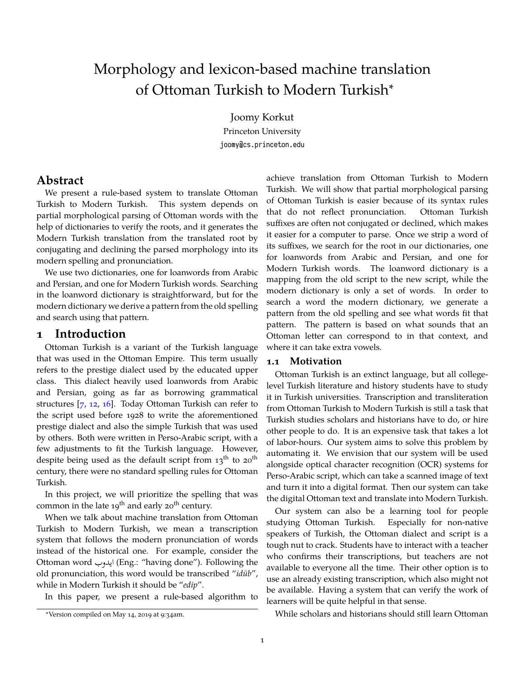# Morphology and lexicon-based machine translation of Ottoman Turkish to Modern Turkish<sup>∗</sup>

Joomy Korkut

Princeton University joomy@cs.princeton.edu

# **Abstract**

We present a rule-based system to translate Ottoman Turkish to Modern Turkish. This system depends on partial morphological parsing of Ottoman words with the help of dictionaries to verify the roots, and it generates the Modern Turkish translation from the translated root by conjugating and declining the parsed morphology into its modern spelling and pronunciation.

We use two dictionaries, one for loanwords from Arabic and Persian, and one for Modern Turkish words. Searching in the loanword dictionary is straightforward, but for the modern dictionary we derive a pattern from the old spelling and search using that pattern.

#### **1 Introduction**

Ottoman Turkish is a variant of the Turkish language that was used in the Ottoman Empire. This term usually refers to the prestige dialect used by the educated upper class. This dialect heavily used loanwords from Arabic and Persian, going as far as borrowing grammatical structures [\[7](#page-4-0), [12,](#page-5-0) [16](#page-5-1)]. Today Ottoman Turkish can refer to the script used before 1928 to write the aforementioned prestige dialect and also the simple Turkish that was used by others. Both were written in Perso-Arabic script, with a few adjustments to fit the Turkish language. However, despite being used as the default script from  $13<sup>th</sup>$  to  $20<sup>th</sup>$ century, there were no standard spelling rules for Ottoman Turkish.

In this project, we will prioritize the spelling that was common in the late  $19^{th}$  and early  $20^{th}$  century.

When we talk about machine translation from Ottoman Turkish to Modern Turkish, we mean a transcription system that follows the modern pronunciation of words instead of the historical one. For example, consider the Ottoman word ايدوب) Eng.: "having done"). Following the old pronunciation, this word would be transcribed "*idüb*", while in Modern Turkish it should be "*edip*".

In this paper, we present a rule-based algorithm to

achieve translation from Ottoman Turkish to Modern Turkish. We will show that partial morphological parsing of Ottoman Turkish is easier because of its syntax rules that do not reflect pronunciation. Ottoman Turkish suffixes are often not conjugated or declined, which makes it easier for a computer to parse. Once we strip a word of its suffixes, we search for the root in our dictionaries, one for loanwords from Arabic and Persian, and one for Modern Turkish words. The loanword dictionary is a mapping from the old script to the new script, while the modern dictionary is only a set of words. In order to search a word the modern dictionary, we generate a pattern from the old spelling and see what words fit that pattern. The pattern is based on what sounds that an Ottoman letter can correspond to in that context, and where it can take extra vowels.

#### **1.1 Motivation**

Ottoman Turkish is an extinct language, but all collegelevel Turkish literature and history students have to study it in Turkish universities. Transcription and transliteration from Ottoman Turkish to Modern Turkish is still a task that Turkish studies scholars and historians have to do, or hire other people to do. It is an expensive task that takes a lot of labor-hours. Our system aims to solve this problem by automating it. We envision that our system will be used alongside optical character recognition (OCR) systems for Perso-Arabic script, which can take a scanned image of text and turn it into a digital format. Then our system can take the digital Ottoman text and translate into Modern Turkish.

Our system can also be a learning tool for people studying Ottoman Turkish. Especially for non-native speakers of Turkish, the Ottoman dialect and script is a tough nut to crack. Students have to interact with a teacher who confirms their transcriptions, but teachers are not available to everyone all the time. Their other option is to use an already existing transcription, which also might not be available. Having a system that can verify the work of learners will be quite helpful in that sense.

While scholars and historians should still learn Ottoman

<sup>∗</sup>Version compiled on May 14, 2019 at 9:34am.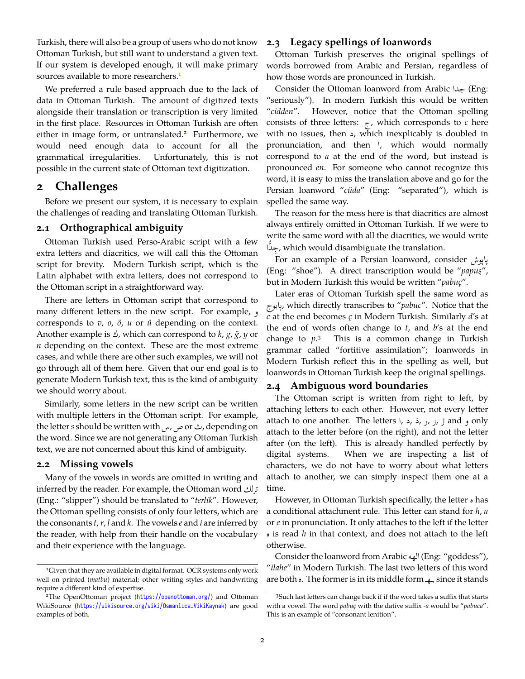Turkish, there will also be a group of users who do not know Ottoman Turkish, but still want to understand a given text. If our system is developed enough, it will make primary sources available to more researchers.<sup>[1](#page-1-0)</sup>

We preferred a rule based approach due to the lack of data in Ottoman Turkish. The amount of digitized texts alongside their translation or transcription is very limited in the first place. Resources in Ottoman Turkish are often either in image form, or untranslated.<sup>[2](#page-1-1)</sup> Furthermore, we would need enough data to account for all the grammatical irregularities. Unfortunately, this is not possible in the current state of Ottoman text digitization.

## **2 Challenges**

Before we present our system, it is necessary to explain the challenges of reading and translating Ottoman Turkish.

#### **2.1 Orthographical ambiguity**

Ottoman Turkish used Perso-Arabic script with a few extra letters and diacritics, we will call this the Ottoman script for brevity. Modern Turkish script, which is the Latin alphabet with extra letters, does not correspond to the Ottoman script in a straightforward way.

There are letters in Ottoman script that correspond to many different letters in the new script. For example, و corresponds to *v*, *o*, *ö*, *u* or *ü* depending on the context. Another example is ك, which can correspond to *<sup>k</sup>*, *<sup>g</sup>*, *<sup>ğ</sup>*, *<sup>y</sup>* or *n* depending on the context. These are the most extreme cases, and while there are other such examples, we will not go through all of them here. Given that our end goal is to generate Modern Turkish text, this is the kind of ambiguity we should worry about.

Similarly, some letters in the new script can be written with multiple letters in the Ottoman script. For example, the letter*<sup>s</sup>* should be written withس,صorث, depending on the word. Since we are not generating any Ottoman Turkish text, we are not concerned about this kind of ambiguity.

#### <span id="page-1-3"></span>**2.2 Missing vowels**

Many of the vowels in words are omitted in writing and inferred by the reader. For example, the Ottoman wordترلك (Eng.: "slipper") should be translated to "*terlik*". However, the Ottoman spelling consists of only four letters, which are the consonants *t*,*r*, *l* and *k*. The vowels *e* and *i* are inferred by the reader, with help from their handle on the vocabulary and their experience with the language.

#### **2.3 Legacy spellings of loanwords**

Ottoman Turkish preserves the original spellings of words borrowed from Arabic and Persian, regardless of how those words are pronounced in Turkish.

Consider the Ottoman loanword from Arabic جدا) Eng: "seriously"). In modern Turkish this would be written "*cidden*". However, notice that the Ottoman spelling consists of three letters:  $\tau$ , which corresponds to *c* here with no issues, then د, which inexplicably is doubled in pronunciation, and then  $\vert$ , which would normally correspond to *a* at the end of the word, but instead is pronounced *en*. For someone who cannot recognize this word, it is easy to miss the translation above and go for the Persian loanword "*cüda*" (Eng: "separated"), which is spelled the same way.

The reason for the mess here is that diacritics are almost always entirely omitted in Ottoman Turkish. If we were to write the same word with all the diacritics, we would write جِدًّا, which would disambiguate the translation. .<br>ب

For an example of a Persian loanword, consider پاپوش (Eng: "shoe"). A direct transcription would be "*papuş*", but in Modern Turkish this would be written "*pabuç*".

Later eras of Ottoman Turkish spell the same word as پابوج, which directly transcribes to "*pabuc*". Notice that the *c* at the end becomes *ç* in Modern Turkish. Similarly *d*'s at the end of words often change to *t*, and *b*'s at the end change to *p*. This is a common change in Turkish grammar called "fortitive assimilation"; loanwords in Modern Turkish reflect this in the spelling as well, but loanwords in Ottoman Turkish keep the original spellings.

#### **2.4 Ambiguous word boundaries**

The Ottoman script is written from right to left, by attaching letters to each other. However, not every letter attach to one another. The letters  $\vert$ ,  $\vert$ ,  $\vert$ ,  $\vert$ ,  $\vert$ ,  $\vert$ ,  $\vert$ ,  $\vert$ ,  $\vert$ ,  $\vert$ ,  $\vert$ ,  $\vert$ ,  $\vert$ ,  $\vert$ ),  $\vert$ attach to the letter before (on the right), and not the letter after (on the left). This is already handled perfectly by digital systems. When we are inspecting a list of characters, we do not have to worry about what letters attach to another, we can simply inspect them one at a time.

However, in Ottoman Turkish specifically, the letter ہ has a conditional attachment rule. This letter can stand for *h*, *a* or *e* in pronunciation. It only attaches to the left if the letter ہ is read *<sup>h</sup>* in that context, and does not attach to the left otherwise.

Consider the loanword from Arabic الهه) Eng: "goddess"), "*ilahe*" in Modern Turkish. The last two letters of this word are both  $\circ$ . The former is in its middle form  $\circ$ , since it stands

<span id="page-1-0"></span><sup>&</sup>lt;sup>1</sup>Given that they are available in digital format. OCR systems only work well on printed (*matbu*) material; other writing styles and handwriting require a different kind of expertise.

<span id="page-1-1"></span><sup>2</sup>The OpenOttoman project (<https://openottoman.org/>) and Ottoman WikiSource ([https://wikisource.org/wiki/Osmanlıca\\_VikiKaynak](https://wikisource.org/wiki/Osmanlıca_VikiKaynak)) are good examples of both.

<span id="page-1-2"></span><sup>3</sup>Such last letters can change back if if the word takes a suffix that starts with a vowel. The word *pabuç* with the dative suffix *-a* would be "*pabuca*". This is an example of "consonant lenition".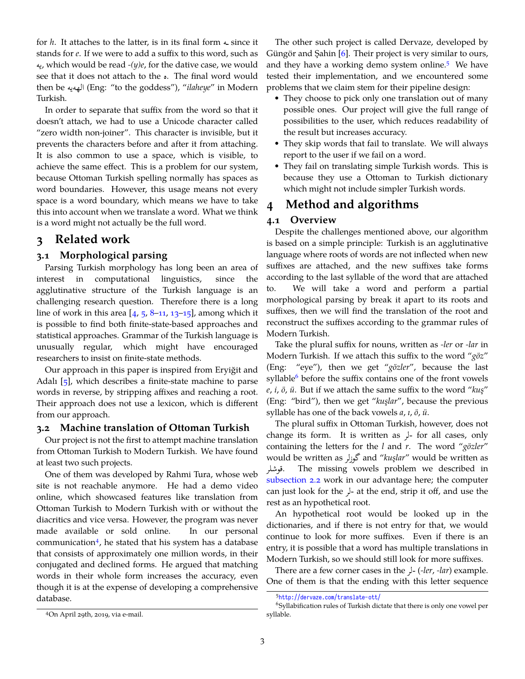for  $h$ . It attaches to the latter, is in its final form  $\triangle$  since it stands for *e*. If we were to add a suffix to this word, such as يه, which would be read *-(y)e*, for the dative case, we would see that it does not attach to the  $\lambda$ . The final word would then be الهه الإله (Eng: "to the goddess"), "*ilaheye*" in Modern Turkish.

In order to separate that suffix from the word so that it doesn't attach, we had to use a Unicode character called "zero width non-joiner". This character is invisible, but it prevents the characters before and after it from attaching. It is also common to use a space, which is visible, to achieve the same effect. This is a problem for our system, because Ottoman Turkish spelling normally has spaces as word boundaries. However, this usage means not every space is a word boundary, which means we have to take this into account when we translate a word. What we think is a word might not actually be the full word.

# **3 Related work**

#### **3.1 Morphological parsing**

Parsing Turkish morphology has long been an area of interest in computational linguistics, since the agglutinative structure of the Turkish language is an challenging research question. Therefore there is a long line of work in this area  $[4, 5, 8-11, 13-15]$  $[4, 5, 8-11, 13-15]$  $[4, 5, 8-11, 13-15]$  $[4, 5, 8-11, 13-15]$  $[4, 5, 8-11, 13-15]$  $[4, 5, 8-11, 13-15]$  $[4, 5, 8-11, 13-15]$  $[4, 5, 8-11, 13-15]$ , among which it is possible to find both finite-state-based approaches and statistical approaches. Grammar of the Turkish language is unusually regular, which might have encouraged researchers to insist on finite-state methods.

Our approach in this paper is inspired from Eryiğit and Adalı  $[5]$  $[5]$ , which describes a finite-state machine to parse words in reverse, by stripping affixes and reaching a root. Their approach does not use a lexicon, which is different from our approach.

#### **3.2 Machine translation of Ottoman Turkish**

Our project is not the first to attempt machine translation from Ottoman Turkish to Modern Turkish. We have found at least two such projects.

One of them was developed by Rahmi Tura, whose web site is not reachable anymore. He had a demo video online, which showcased features like translation from Ottoman Turkish to Modern Turkish with or without the diacritics and vice versa. However, the program was never made available or sold online. In our personal communication<sup>[4](#page-2-0)</sup>, he stated that his system has a database that consists of approximately one million words, in their conjugated and declined forms. He argued that matching words in their whole form increases the accuracy, even though it is at the expense of developing a comprehensive database.

The other such project is called Dervaze, developed by Güngör and Şahin [[6](#page-4-3)]. Their project is very similar to ours, and they have a working demo system online.<sup>[5](#page-2-1)</sup> We have tested their implementation, and we encountered some problems that we claim stem for their pipeline design:

- They choose to pick only one translation out of many possible ones. Our project will give the full range of possibilities to the user, which reduces readability of the result but increases accuracy.
- They skip words that fail to translate. We will always report to the user if we fail on a word.
- They fail on translating simple Turkish words. This is because they use a Ottoman to Turkish dictionary which might not include simpler Turkish words.

# **4 Method and algorithms**

#### **4.1 Overview**

Despite the challenges mentioned above, our algorithm is based on a simple principle: Turkish is an agglutinative language where roots of words are not inflected when new suffixes are attached, and the new suffixes take forms according to the last syllable of the word that are attached to. We will take a word and perform a partial morphological parsing by break it apart to its roots and suffixes, then we will find the translation of the root and reconstruct the suffixes according to the grammar rules of Modern Turkish.

Take the plural suffix for nouns, written as *-ler* or *-lar* in Modern Turkish. If we attach this suffix to the word "*göz*" (Eng: "eye"), then we get "*gözler*", because the last syllable $6$  before the suffix contains one of the front vowels *e*, *i*, *ö*, *ü*. But if we attach the same suffix to the word "*kuş*" (Eng: "bird"), then we get "*kuşlar*", because the previous syllable has one of the back vowels *a*, *ı*, *ö*, *ü*.

The plural suffix in Ottoman Turkish, however, does not change its form. It is written as  $\downarrow$ - for all cases, only containing the letters for the *l* and *r*. The word "*gözler*" would be written as گوزلر and "*kuşlar*" would be written as قوشلر. The missing vowels problem we described in [subsection 2.2](#page-1-3) work in our advantage here; the computer can just look for the  $\frac{1}{2}$ - at the end, strip it off, and use the rest as an hypothetical root.

An hypothetical root would be looked up in the dictionaries, and if there is not entry for that, we would continue to look for more suffixes. Even if there is an entry, it is possible that a word has multiple translations in Modern Turkish, so we should still look for more suffixes.

There are a few corner cases in the  $\frac{1}{r}$ -(*-ler*, *-lar*) example. One of them is that the ending with this letter sequence

<span id="page-2-2"></span><span id="page-2-1"></span><sup>5</sup> <http://dervaze.com/translate-ott/>

 $^6$ Syllabification rules of Turkish dictate that there is only one vowel per syllable.

<span id="page-2-0"></span><sup>4</sup>On April 29th, 2019, via e-mail.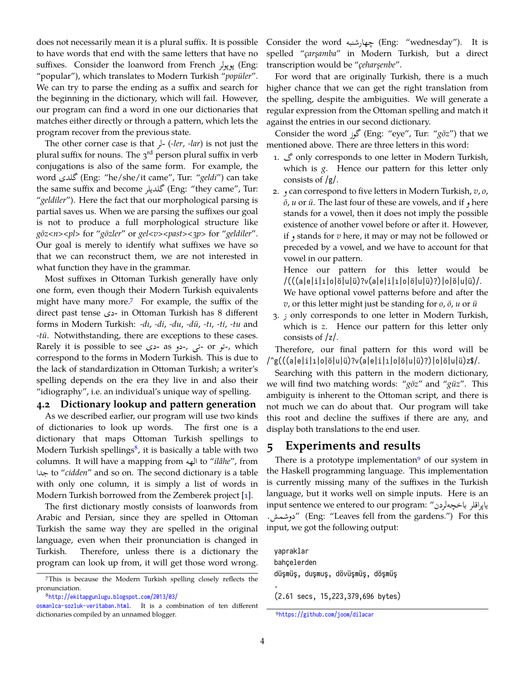does not necessarily mean it is a plural suffix. It is possible to have words that end with the same letters that have no suffixes. Consider the loanword from French پوپولر) Eng: "popular"), which translates to Modern Turkish "*popüler*". We can try to parse the ending as a suffix and search for the beginning in the dictionary, which will fail. However, our program can find a word in one our dictionaries that matches either directly or through a pattern, which lets the program recover from the previous state.

The other corner case is that  $\frac{1}{r}$  *(-ler, -lar)* is not just the plural suffix for nouns. The  $3<sup>rd</sup>$  person plural suffix in verb conjugations is also of the same form. For example, the word گلدى) Eng: "he/she/it came", Tur: "*geldi*") can take the same suffix and become گلديلر) Eng: "they came", Tur: "*geldiler*"). Here the fact that our morphological parsing is partial saves us. When we are parsing the suffixes our goal is not to produce a full morphological structure like *göz<n><pl>* for "*gözler*" or *gel<v><past><3p>* for "*geldiler*". Our goal is merely to identify what suffixes we have so that we can reconstruct them, we are not interested in what function they have in the grammar.

Most suffixes in Ottoman Turkish generally have only one form, even though their Modern Turkish equivalents might have many more.[7](#page-3-0) For example, the suffix of the direct past tense دى- in Ottoman Turkish has 8 different forms in Modern Turkish: *-dı*, *-di*, *-du*, *-dü*, *-tı*, *-ti*, *-tu* and *-tü*. Notwithstanding, there are exceptions to these cases. Rarely it is possible to see دى- as -دى-, ب-دو-, which correspond to the forms in Modern Turkish. This is due to the lack of standardization in Ottoman Turkish; a writer's spelling depends on the era they live in and also their "idiography", i.e. an individual's unique way of spelling.

#### **4.2 Dictionary lookup and pattern generation**

As we described earlier, our program will use two kinds of dictionaries to look up words. The first one is a dictionary that maps Ottoman Turkish spellings to Modern Turkish spellings $^8$  $^8$ , it is basically a table with two columns. It will have a mapping from الهه to "*ilâhe*", from جدا to "*cidden*" and so on. The second dictionary is a table with only one column, it is simply a list of words in Modern Turkish borrowed from the Zemberek project [\[1](#page-4-4)].

The first dictionary mostly consists of loanwords from Arabic and Persian, since they are spelled in Ottoman Turkish the same way they are spelled in the original language, even when their pronunciation is changed in Turkish. Therefore, unless there is a dictionary the program can look up from, it will get those word wrong. Consider the word چهارشنبه) Eng: "wednesday"). It is spelled "*çarşamba*" in Modern Turkish, but a direct transcription would be "*çeharşenbe*".

For word that are originally Turkish, there is a much higher chance that we can get the right translation from the spelling, despite the ambiguities. We will generate a regular expression from the Ottoman spelling and match it against the entries in our second dictionary.

Consider the word گوز) Eng: "eye", Tur: "*göz*") that we mentioned above. There are three letters in this word:

- 1. گ only corresponds to one letter in Modern Turkish, which is *g*. Hence our pattern for this letter only consists of /g/.
- 2. و can correspond to five letters in Modern Turkish, *<sup>v</sup>*, *<sup>o</sup>*, *<sup>ö</sup>*, *<sup>u</sup>* or *<sup>ü</sup>*. The last four of these are vowels, and if و here stands for a vowel, then it does not imply the possible existence of another vowel before or after it. However, if و stands for *<sup>v</sup>* here, it may or may not be followed or preceded by a vowel, and we have to account for that vowel in our pattern.

Hence our pattern for this letter would be /(((a|e|i|ı|o|ö|u|ü)?v(a|e|i|ı|o|ö|u|ü)?)|o|ö|u|ü)/. We have optional vowel patterns before and after the *v*, or this letter might just be standing for *o*, *ö*, *u* or *ü*

3. ز only corresponds to one letter in Modern Turkish, which is *z*. Hence our pattern for this letter only consists of /z/.

Therefore, our final pattern for this word will be /^g(((a|e|i|ı|o|ö|u|ü)?v(a|e|i|ı|o|ö|u|ü)?)|o|ö|u|ü)z\$/.

Searching with this pattern in the modern dictionary, we will find two matching words: "*göz*" and "*güz*". This ambiguity is inherent to the Ottoman script, and there is not much we can do about that. Our program will take this root and decline the suffixes if there are any, and display both translations to the end user.

# **5 Experiments and results**

There is a prototype implementation $9$  of our system in the Haskell programming language. This implementation is currently missing many of the suffixes in the Turkish language, but it works well on simple inputs. Here is an input sentence we entered to our program: "لردن باخچه ياپراقلر .دوشمش) "Eng: "Leaves fell from the gardens.") For this input, we got the following output:

yapraklar bahçelerden düşmüş, duşmuş, dövüşmüş, döşmüş . (2.61 secs, 15,223,379,696 bytes)

<span id="page-3-0"></span><sup>7</sup>This is because the Modern Turkish spelling closely reflects the pronunciation.

<span id="page-3-1"></span><sup>8</sup> [http://ekitapgunlugu.blogspot.com/2013/03/](http://ekitapgunlugu.blogspot.com/2013/03/osmanlca-sozluk-veritaban.html)

[osmanlca-sozluk-veritaban.html](http://ekitapgunlugu.blogspot.com/2013/03/osmanlca-sozluk-veritaban.html). It is a combination of ten different dictionaries compiled by an unnamed blogger.

<span id="page-3-2"></span><sup>9</sup> <https://github.com/joom/dilacar>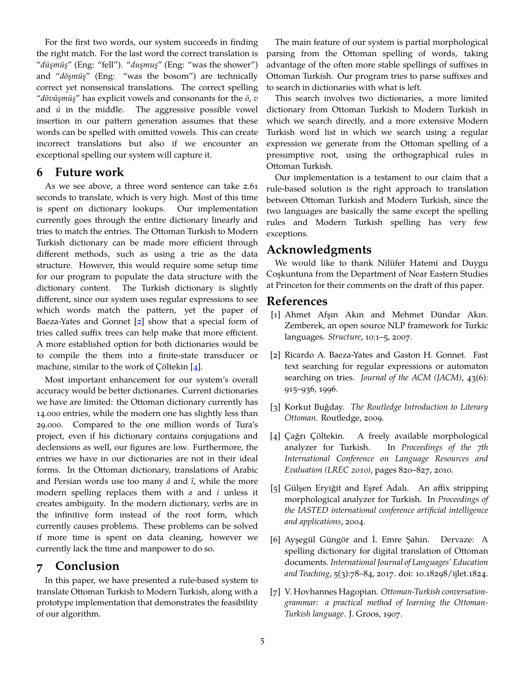For the first two words, our system succeeds in finding the right match. For the last word the correct translation is "*düşmüş*" (Eng: "fell"). "*duşmuş*" (Eng: "was the shower") and "*döşmüş*" (Eng: "was the bosom") are technically correct yet nonsensical translations. The correct spelling "*dövüşmüş*" has explicit vowels and consonants for the *ö*, *v* and *ü* in the middle. The aggressive possible vowel insertion in our pattern generation assumes that these words can be spelled with omitted vowels. This can create incorrect translations but also if we encounter an exceptional spelling our system will capture it.

### **6 Future work**

As we see above, a three word sentence can take 2.61 seconds to translate, which is very high. Most of this time is spent on dictionary lookups. Our implementation currently goes through the entire dictionary linearly and tries to match the entries. The Ottoman Turkish to Modern Turkish dictionary can be made more efficient through different methods, such as using a trie as the data structure. However, this would require some setup time for our program to populate the data structure with the dictionary content. The Turkish dictionary is slightly different, since our system uses regular expressions to see which words match the pattern, yet the paper of Baeza-Yates and Gonnet [[2](#page-4-5)] show that a special form of tries called suffix trees can help make that more efficient. A more established option for both dictionaries would be to compile the them into a finite-state transducer or machine, similar to the work of Çöltekin [\[4\]](#page-4-1).

Most important enhancement for our system's overall accuracy would be better dictionaries. Current dictionaries we have are limited: the Ottoman dictionary currently has 14.000 entries, while the modern one has slightly less than 29.000. Compared to the one million words of Tura's project, even if his dictionary contains conjugations and declensions as well, our figures are low. Furthermore, the entries we have in our dictionaries are not in their ideal forms. In the Ottoman dictionary, translations of Arabic and Persian words use too many *â* and *î*, while the more modern spelling replaces them with *a* and *i* unless it creates ambiguity. In the modern dictionary, verbs are in the infinitive form instead of the root form, which currently causes problems. These problems can be solved if more time is spent on data cleaning, however we currently lack the time and manpower to do so.

# **7 Conclusion**

In this paper, we have presented a rule-based system to translate Ottoman Turkish to Modern Turkish, along with a prototype implementation that demonstrates the feasibility of our algorithm.

The main feature of our system is partial morphological parsing from the Ottoman spelling of words, taking advantage of the often more stable spellings of suffixes in Ottoman Turkish. Our program tries to parse suffixes and to search in dictionaries with what is left.

This search involves two dictionaries, a more limited dictionary from Ottoman Turkish to Modern Turkish in which we search directly, and a more extensive Modern Turkish word list in which we search using a regular expression we generate from the Ottoman spelling of a presumptive root, using the orthographical rules in Ottoman Turkish.

Our implementation is a testament to our claim that a rule-based solution is the right approach to translation between Ottoman Turkish and Modern Turkish, since the two languages are basically the same except the spelling rules and Modern Turkish spelling has very few exceptions.

# **Acknowledgments**

We would like to thank Nilüfer Hatemi and Duygu Coşkuntuna from the Department of Near Eastern Studies at Princeton for their comments on the draft of this paper.

## **References**

- <span id="page-4-4"></span>[1] Ahmet Afşın Akın and Mehmet Dündar Akın. Zemberek, an open source NLP framework for Turkic languages. *Structure*, 10:1–5, 2007.
- <span id="page-4-5"></span>[2] Ricardo A. Baeza-Yates and Gaston H. Gonnet. Fast text searching for regular expressions or automaton searching on tries. *Journal of the ACM (JACM)*, 43(6): 915–936, 1996.
- <span id="page-4-6"></span>[3] Korkut Buğday. *The Routledge Introduction to Literary Ottoman*. Routledge, 2009.
- <span id="page-4-1"></span>[4] Çağrı Çöltekin. A freely available morphological analyzer for Turkish. In *Proceedings of the 7th International Conference on Language Resources and Evaluation (LREC 2010)*, pages 820–827, 2010.
- <span id="page-4-2"></span>[5] Gülşen Eryiğit and Eşref Adalı. An affix stripping morphological analyzer for Turkish. In *Proceedings of the IASTED international conference artificial intelligence and applications*, 2004.
- <span id="page-4-3"></span>[6] Ayşegül Güngör and İ. Emre Şahin. Dervaze: A spelling dictionary for digital translation of Ottoman documents. *International Journal of Languages' Education and Teaching*, 5(3):78–84, 2017. doi: 10.18298/ijlet.1824.
- <span id="page-4-0"></span>[7] V. Hovhannes Hagopian. *Ottoman-Turkish conversationgrammar: a practical method of learning the Ottoman-Turkish language*. J. Groos, 1907.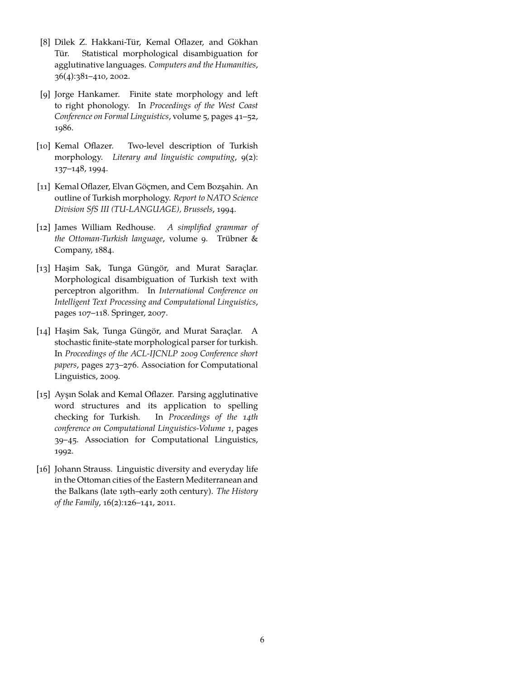- <span id="page-5-2"></span>[8] Dilek Z. Hakkani-Tür, Kemal Oflazer, and Gökhan Tür. Statistical morphological disambiguation for agglutinative languages. *Computers and the Humanities*, 36(4):381–410, 2002.
- [9] Jorge Hankamer. Finite state morphology and left to right phonology. In *Proceedings of the West Coast Conference on Formal Linguistics*, volume 5, pages 41–52, 1986.
- [10] Kemal Oflazer. Two-level description of Turkish morphology. *Literary and linguistic computing*, 9(2): 137–148, 1994.
- <span id="page-5-3"></span>[11] Kemal Oflazer, Elvan Göçmen, and Cem Bozşahin. An outline of Turkish morphology. *Report to NATO Science Division SfS III (TU-LANGUAGE), Brussels*, 1994.
- <span id="page-5-0"></span>[12] James William Redhouse. *A simplified grammar of the Ottoman-Turkish language*, volume 9. Trübner & Company, 1884.
- <span id="page-5-4"></span>[13] Haşim Sak, Tunga Güngör, and Murat Saraçlar. Morphological disambiguation of Turkish text with perceptron algorithm. In *International Conference on Intelligent Text Processing and Computational Linguistics*, pages 107–118. Springer, 2007.
- [14] Haşim Sak, Tunga Güngör, and Murat Saraçlar. A stochastic finite-state morphological parser for turkish. In *Proceedings of the ACL-IJCNLP 2009 Conference short papers*, pages 273–276. Association for Computational Linguistics, 2009.
- <span id="page-5-5"></span>[15] Ayşın Solak and Kemal Oflazer. Parsing agglutinative word structures and its application to spelling checking for Turkish. In *Proceedings of the 14th conference on Computational Linguistics-Volume 1*, pages 39–45. Association for Computational Linguistics, 1992.
- <span id="page-5-1"></span>[16] Johann Strauss. Linguistic diversity and everyday life in the Ottoman cities of the Eastern Mediterranean and the Balkans (late 19th–early 20th century). *The History of the Family*, 16(2):126–141, 2011.